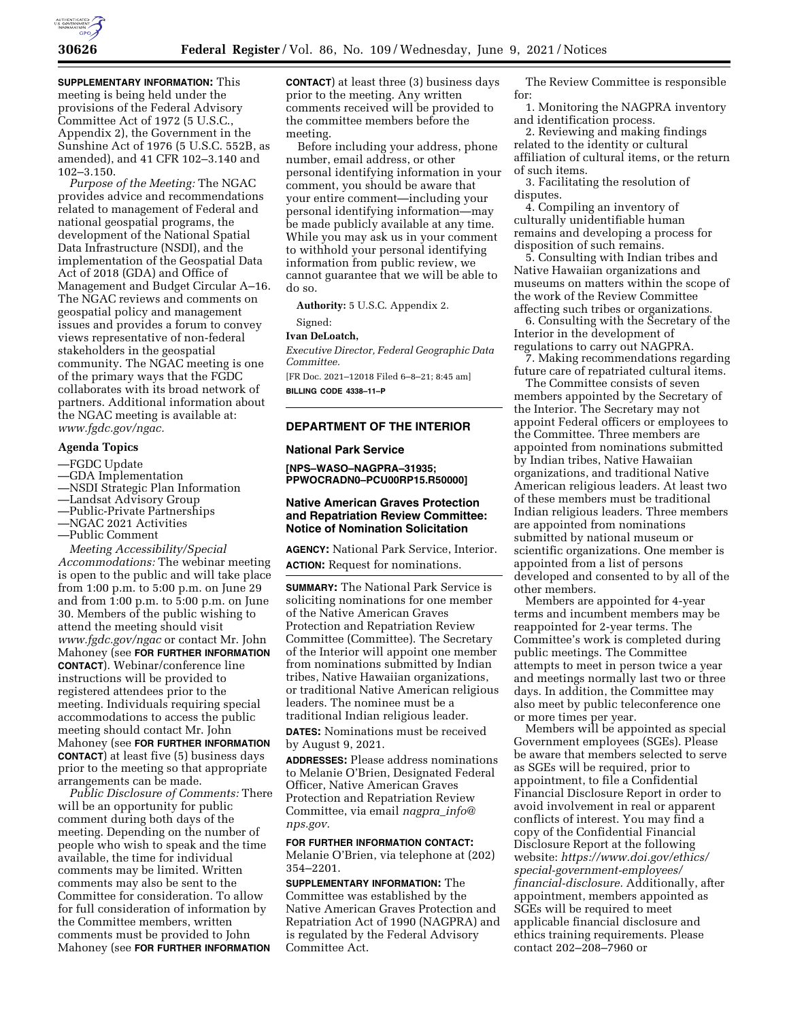

**SUPPLEMENTARY INFORMATION:** This meeting is being held under the provisions of the Federal Advisory Committee Act of 1972 (5 U.S.C., Appendix 2), the Government in the Sunshine Act of 1976 (5 U.S.C. 552B, as amended), and 41 CFR 102–3.140 and 102–3.150.

*Purpose of the Meeting:* The NGAC provides advice and recommendations related to management of Federal and national geospatial programs, the development of the National Spatial Data Infrastructure (NSDI), and the implementation of the Geospatial Data Act of 2018 (GDA) and Office of Management and Budget Circular A–16. The NGAC reviews and comments on geospatial policy and management issues and provides a forum to convey views representative of non-federal stakeholders in the geospatial community. The NGAC meeting is one of the primary ways that the FGDC collaborates with its broad network of partners. Additional information about the NGAC meeting is available at: *[www.fgdc.gov/ngac.](http://www.fgdc.gov/ngac)* 

#### **Agenda Topics**

# —FGDC Update

- —GDA Implementation
- —NSDI Strategic Plan Information
- —Landsat Advisory Group
- —Public-Private Partnerships
- —NGAC 2021 Activities
- —Public Comment

*Meeting Accessibility/Special Accommodations:* The webinar meeting is open to the public and will take place from 1:00 p.m. to 5:00 p.m. on June 29 and from 1:00 p.m. to 5:00 p.m. on June 30. Members of the public wishing to attend the meeting should visit *[www.fgdc.gov/ngac](http://www.fgdc.gov/ngac)* or contact Mr. John Mahoney (see **FOR FURTHER INFORMATION CONTACT**). Webinar/conference line instructions will be provided to registered attendees prior to the meeting. Individuals requiring special accommodations to access the public meeting should contact Mr. John Mahoney (see **FOR FURTHER INFORMATION CONTACT**) at least five (5) business days prior to the meeting so that appropriate arrangements can be made.

*Public Disclosure of Comments:* There will be an opportunity for public comment during both days of the meeting. Depending on the number of people who wish to speak and the time available, the time for individual comments may be limited. Written comments may also be sent to the Committee for consideration. To allow for full consideration of information by the Committee members, written comments must be provided to John Mahoney (see **FOR FURTHER INFORMATION**

**CONTACT**) at least three (3) business days prior to the meeting. Any written comments received will be provided to the committee members before the meeting.

Before including your address, phone number, email address, or other personal identifying information in your comment, you should be aware that your entire comment—including your personal identifying information—may be made publicly available at any time. While you may ask us in your comment to withhold your personal identifying information from public review, we cannot guarantee that we will be able to do so.

**Authority:** 5 U.S.C. Appendix 2.

#### Signed:

#### **Ivan DeLoatch,**

*Executive Director, Federal Geographic Data Committee.* 

[FR Doc. 2021–12018 Filed 6–8–21; 8:45 am] **BILLING CODE 4338–11–P** 

## **DEPARTMENT OF THE INTERIOR**

#### **National Park Service**

**[NPS–WASO–NAGPRA–31935; PPWOCRADN0–PCU00RP15.R50000]** 

# **Native American Graves Protection and Repatriation Review Committee: Notice of Nomination Solicitation**

**AGENCY:** National Park Service, Interior. **ACTION:** Request for nominations.

**SUMMARY:** The National Park Service is soliciting nominations for one member of the Native American Graves Protection and Repatriation Review Committee (Committee). The Secretary of the Interior will appoint one member from nominations submitted by Indian tribes, Native Hawaiian organizations, or traditional Native American religious leaders. The nominee must be a traditional Indian religious leader.

**DATES:** Nominations must be received by August 9, 2021.

**ADDRESSES:** Please address nominations to Melanie O'Brien, Designated Federal Officer, Native American Graves Protection and Repatriation Review Committee, via email *[nagpra](mailto:nagpra_info@nps.gov)*\_*info@ [nps.gov.](mailto:nagpra_info@nps.gov)* 

# **FOR FURTHER INFORMATION CONTACT:**

Melanie O'Brien, via telephone at (202) 354–2201.

**SUPPLEMENTARY INFORMATION:** The Committee was established by the Native American Graves Protection and Repatriation Act of 1990 (NAGPRA) and is regulated by the Federal Advisory Committee Act.

The Review Committee is responsible for:

1. Monitoring the NAGPRA inventory and identification process.

2. Reviewing and making findings related to the identity or cultural affiliation of cultural items, or the return of such items.

3. Facilitating the resolution of disputes.

4. Compiling an inventory of culturally unidentifiable human remains and developing a process for disposition of such remains.

5. Consulting with Indian tribes and Native Hawaiian organizations and museums on matters within the scope of the work of the Review Committee affecting such tribes or organizations.

6. Consulting with the Secretary of the Interior in the development of regulations to carry out NAGPRA.

7. Making recommendations regarding future care of repatriated cultural items.

The Committee consists of seven members appointed by the Secretary of the Interior. The Secretary may not appoint Federal officers or employees to the Committee. Three members are appointed from nominations submitted by Indian tribes, Native Hawaiian organizations, and traditional Native American religious leaders. At least two of these members must be traditional Indian religious leaders. Three members are appointed from nominations submitted by national museum or scientific organizations. One member is appointed from a list of persons developed and consented to by all of the other members.

Members are appointed for 4-year terms and incumbent members may be reappointed for 2-year terms. The Committee's work is completed during public meetings. The Committee attempts to meet in person twice a year and meetings normally last two or three days. In addition, the Committee may also meet by public teleconference one or more times per year.

Members will be appointed as special Government employees (SGEs). Please be aware that members selected to serve as SGEs will be required, prior to appointment, to file a Confidential Financial Disclosure Report in order to avoid involvement in real or apparent conflicts of interest. You may find a copy of the Confidential Financial Disclosure Report at the following website: *[https://www.doi.gov/ethics/](https://www.doi.gov/ethics/special-government-employees/financial-disclosure) [special-government-employees/](https://www.doi.gov/ethics/special-government-employees/financial-disclosure)  [financial-disclosure.](https://www.doi.gov/ethics/special-government-employees/financial-disclosure)* Additionally, after appointment, members appointed as SGEs will be required to meet applicable financial disclosure and ethics training requirements. Please contact 202–208–7960 or